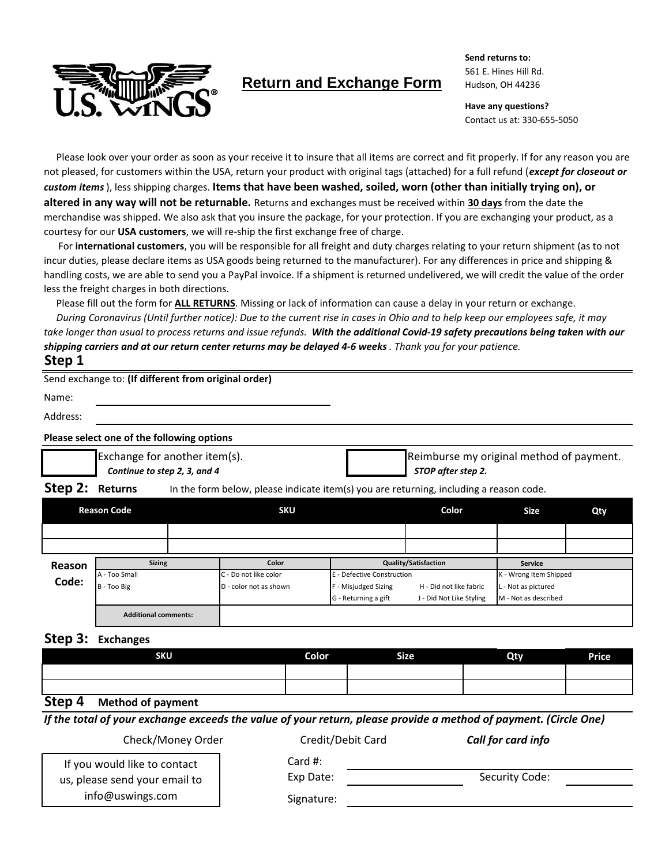

# **Return and Exchange Form**

**Send returns to:** 561 E. Hines Hill Rd. Hudson, OH 44236

**Have any questions?** Contact us at: 330-655-5050

Please look over your order as soon as your receive it to insure that all items are correct and fit properly. If for any reason you are not pleased, for customers within the USA, return your product with original tags (attached) for a full refund (*except for closeout or custom items*), less shipping charges. **Items that have been washed, soiled, worn (other than initially trying on), or altered in any way will not be returnable.** Returns and exchanges must be received within **30 days** from the date the merchandise was shipped. We also ask that you insure the package, for your protection. If you are exchanging your product, as a courtesy for our **USA customers**, we will re-ship the first exchange free of charge.

For **international customers**, you will be responsible for all freight and duty charges relating to your return shipment (as to not incur duties, please declare items as USA goods being returned to the manufacturer). For any differences in price and shipping & handling costs, we are able to send you a PayPal invoice. If a shipment is returned undelivered, we will credit the value of the order less the freight charges in both directions.

Please fill out the form for **ALL RETURNS**. Missing or lack of information can cause a delay in your return or exchange.

 *During Coronavirus (Until further notice): Due to the current rise in cases in Ohio and to help keep our employees safe, it may take longer than usual to process returns and issue refunds. With the additional Covid-19 safety precautions being taken with our shipping carriers and at our return center returns may be delayed 4-6 weeks . Thank you for your patience.*

## **Step 1**

|          | Send exchange to: (If different from original order)          |                                                                |
|----------|---------------------------------------------------------------|----------------------------------------------------------------|
| Name:    |                                                               |                                                                |
| Address: |                                                               |                                                                |
|          | Please select one of the following options                    |                                                                |
|          | Exchange for another item(s).<br>Continue to step 2, 3, and 4 | Reimburse my original method of payment.<br>STOP after step 2. |

**Step 2:** Returns In the form below, please indicate item(s) you are returning, including a reason code.

| <b>Reason Code</b> |                             | <b>SKU</b> |                        | Color                | <b>Size</b>                 | Qty                  |                        |  |
|--------------------|-----------------------------|------------|------------------------|----------------------|-----------------------------|----------------------|------------------------|--|
|                    |                             |            |                        |                      |                             |                      |                        |  |
|                    |                             |            |                        |                      |                             |                      |                        |  |
| Reason             | <b>Sizing</b>               |            | Color                  |                      | <b>Quality/Satisfaction</b> |                      |                        |  |
| Code:              | A - Too Small               |            | C - Do not like color  |                      | E - Defective Construction  |                      | K - Wrong Item Shipped |  |
|                    | B - Too Big                 |            | D - color not as shown | F - Misjudged Sizing | H - Did not like fabric     | L - Not as pictured  |                        |  |
|                    |                             |            |                        | G - Returning a gift | J - Did Not Like Styling    | M - Not as described |                        |  |
|                    | <b>Additional comments:</b> |            |                        |                      |                             |                      |                        |  |

## **Step 3: Exchanges**

| SKU               | <b>Color</b> | <b>Size</b> | Qty | <b>Price</b> |  |  |  |  |
|-------------------|--------------|-------------|-----|--------------|--|--|--|--|
|                   |              |             |     |              |  |  |  |  |
|                   |              |             |     |              |  |  |  |  |
| $\mathbf{C}$<br>. |              |             |     |              |  |  |  |  |

#### **Step 4 Method of payment**

*If the total of your exchange exceeds the value of your return, please provide a method of payment. (Circle One)*

Check/Money Order Credit/Debit Card *Call for card info*

If you would like to contact us, please send your email to info@uswings.com

Card #:

Exp Date:

Signature:

Security Code: